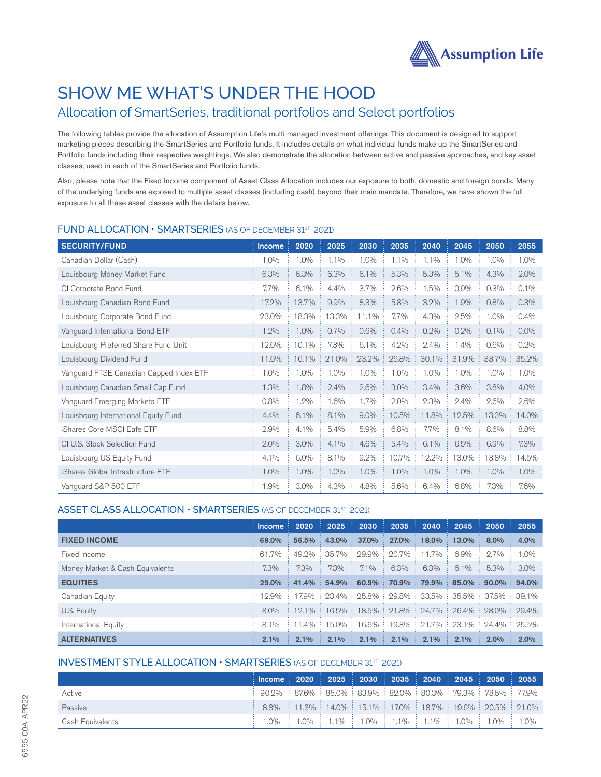

# SHOW ME WHAT'S UNDER THE HOOD

# Allocation of SmartSeries, traditional portfolios and Select portfolios

The following tables provide the allocation of Assumption Life's multi-managed investment offerings. This document is designed to support marketing pieces describing the SmartSeries and Portfolio funds. It includes details on what individual funds make up the SmartSeries and Portfolio funds including their respective weightings. We also demonstrate the allocation between active and passive approaches, and key asset classes, used in each of the SmartSeries and Portfolio funds.

Also, please note that the Fixed Income component of Asset Class Allocation includes our exposure to both, domestic and foreign bonds. Many of the underlying funds are exposed to multiple asset classes (including cash) beyond their main mandate. Therefore, we have shown the full exposure to all these asset classes with the details below.

| <b>SECURITY/FUND</b>                    | Income | 2020  | 2025    | 2030    | 2035  | 2040  | 2045  | 2050    | 2055    |
|-----------------------------------------|--------|-------|---------|---------|-------|-------|-------|---------|---------|
| Canadian Dollar (Cash)                  | 1.0%   | 1.0%  | 1.1%    | 1.0%    | 1.1%  | 1.1%  | 1.0%  | 1.0%    | 1.0%    |
| Louisbourg Money Market Fund            | 6.3%   | 6.3%  | 6.3%    | 6.1%    | 5.3%  | 5.3%  | 5.1%  | 4.3%    | 2.0%    |
| CI Corporate Bond Fund                  | 7.7%   | 6.1%  | 4.4%    | 3.7%    | 2.6%  | 1.5%  | 0.9%  | 0.3%    | 0.1%    |
| Louisbourg Canadian Bond Fund           | 17.2%  | 13.7% | 9.9%    | 8.3%    | 5.8%  | 3.2%  | 1.9%  | 0.8%    | 0.3%    |
| Louisbourg Corporate Bond Fund          | 23.0%  | 18.3% | 13.3%   | 11.1%   | 7.7%  | 4.3%  | 2.5%  | 1.0%    | 0.4%    |
| Vanguard International Bond ETF         | 1.2%   | 1.0%  | $0.7\%$ | 0.6%    | 0.4%  | 0.2%  | 0.2%  | $0.1\%$ | $0.0\%$ |
| Louisbourg Preferred Share Fund Unit    | 12.6%  | 10.1% | 7.3%    | 6.1%    | 4.2%  | 2.4%  | 1.4%  | 0.6%    | 0.2%    |
| Louisbourg Dividend Fund                | 11.6%  | 16.1% | 21.0%   | 23.2%   | 26.8% | 30.1% | 31.9% | 33.7%   | 35.2%   |
| Vanguard FTSE Canadian Capped Index ETF | 1.0%   | 1.0%  | 1.0%    | 1.0%    | 1.0%  | 1.0%  | 1.0%  | 1.0%    | 1.0%    |
| Louisbourg Canadian Small Cap Fund      | 1.3%   | 1.8%  | 2.4%    | 2.6%    | 3.0%  | 3.4%  | 3.6%  | 3.8%    | 4.0%    |
| Vanguard Emerging Markets ETF           | 0.8%   | 1.2%  | 1.6%    | 1.7%    | 2.0%  | 2.3%  | 2.4%  | 2.6%    | 2.6%    |
| Louisbourg International Equity Fund    | 4.4%   | 6.1%  | 8.1%    | $9.0\%$ | 10.5% | 11.8% | 12.5% | 13.3%   | 14.0%   |
| iShares Core MSCI Eafe ETF              | 2.9%   | 4.1%  | 5.4%    | 5.9%    | 6.8%  | 7.7%  | 8.1%  | 8.6%    | 8.8%    |
| CI U.S. Stock Selection Fund            | 2.0%   | 3.0%  | 4.1%    | 4.6%    | 5.4%  | 6.1%  | 6.5%  | 6.9%    | 7.3%    |
| Louisbourg US Equity Fund               | 4.1%   | 6.0%  | 8.1%    | $9.2\%$ | 10.7% | 12.2% | 13.0% | 13.8%   | 14.5%   |
| iShares Global Infrastructure ETF       | 1.0%   | 1.0%  | 1.0%    | 1.0%    | 1.0%  | 1.0%  | 1.0%  | 1.0%    | $1.0\%$ |
| Vanquard S&P 500 ETF                    | 1.9%   | 3.0%  | 4.3%    | 4.8%    | 5.6%  | 6.4%  | 6.8%  | 7.3%    | 7.6%    |

### FUND ALLOCATION • SMARTSERIES (AS OF DECEMBER 31ST, 2021)

## ASSET CLASS ALLOCATION • SMARTSERIES (AS OF DECEMBER 31ST, 2021)

|                                 | $'$ Income $\therefore$ |         |         |         |                                              |            | $2020$ : 2025 : 2030 : 2035 : 2040 : 2045 : 2050                                      |             | 2055    |
|---------------------------------|-------------------------|---------|---------|---------|----------------------------------------------|------------|---------------------------------------------------------------------------------------|-------------|---------|
| <b>FIXED INCOME</b>             | 69.0%                   |         |         |         |                                              |            | $56.5\%$ $43.0\%$ $37.0\%$ $27.0\%$ $18.0\%$ $13.0\%$ $8.0\%$                         |             | 4.0%    |
| Fixed Income                    | 61.7%                   |         |         |         | 49.2% : 35.7% : 29.9% : 20.7% : 11.7% : 6.9% |            |                                                                                       | $\div$ 2.7% | $1.0\%$ |
| Money Market & Cash Equivalents | $7.3\%$                 | 7.3%    | 7.3%    | $7.1\%$ | 6.3%<br><b>A</b>                             | 6.3%<br>A. | $\pm 6.1\%$                                                                           | $\pm 5.3\%$ | $3.0\%$ |
| <b>EQUITIES</b>                 | $29.0\%$                |         |         |         |                                              |            | $41.4\%$ 54.9% 60.9% 70.9% 79.9% 85.0% 90.0% 94.0%                                    |             |         |
| Canadian Equity                 | 12.9%                   |         |         |         |                                              |            | 17.9% : 23.4% : 25.8% : 29.8% : 33.5% : 35.5% : 37.5% : 39.1%                         |             |         |
| U.S. Equity                     | 8.0%                    |         |         |         |                                              |            | $12.1\%$ : $16.5\%$ : $18.5\%$ : $21.8\%$ : $24.7\%$ : $26.4\%$ : $28.0\%$ : $29.4\%$ |             |         |
| International Equity            | 8.1%                    |         |         |         |                                              |            | $11.4\%$ : 15.0% : 16.6% : 19.3% : 21.7% : 23.1% : 24.4% : 25.5%                      |             |         |
| <b>ALTERNATIVES</b>             | 2.1%                    | $2.1\%$ | $2.1\%$ | 2.1%    | $2.1\%$                                      | $2.1\%$    | $2.1\%$                                                                               | $2.0\%$     | $2.0\%$ |

# INVESTMENT STYLE ALLOCATION • SMARTSERIES (AS OF DECEMBER 31ST, 2021)

|                  | ([Income ] 2020 ] 2025 ] 2030 ] 2035 ] 2040 ] 2045 ] 2050 ] 2055 <sup>」</sup>                                                                                                       |  |  |  |  |
|------------------|-------------------------------------------------------------------------------------------------------------------------------------------------------------------------------------|--|--|--|--|
| Active           | $\frac{1}{2}$ 90.2% $\frac{1}{2}$ 87.6% $\frac{1}{2}$ 85.0% $\frac{1}{2}$ 83.9% $\frac{1}{2}$ 82.0% $\frac{1}{2}$ 80.3% $\frac{1}{2}$ 79.3% $\frac{1}{2}$ 78.5% $\frac{1}{2}$ 77.9% |  |  |  |  |
| Passive          | $\therefore$ 8.8% $\therefore$ 11.3% $\therefore$ 14.0% $\therefore$ 15.1% $\therefore$ 17.0% $\therefore$ 18.7% $\therefore$ 19.6% $\therefore$ 20.5% $\therefore$ 21.0%           |  |  |  |  |
| Cash Equivalents | - 1.0% : 1.0% : 1.1% : 1.0% : 1.1% : 1.1% : 1.0% : 1.0% : 1.0%                                                                                                                      |  |  |  |  |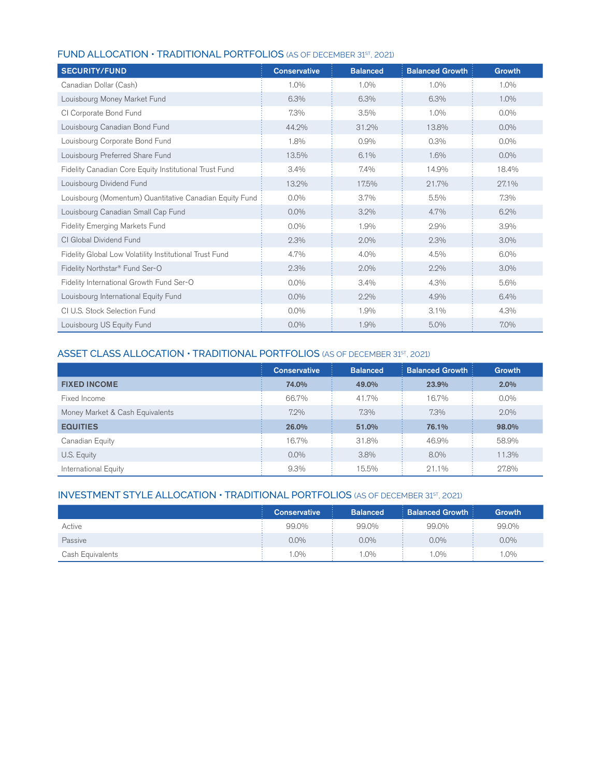|  |  | <b>FUND ALLOCATION • TRADITIONAL PORTFOLIOS</b> (AS OF DECEMBER 31 <sup>5T</sup> , 2021) |
|--|--|------------------------------------------------------------------------------------------|
|--|--|------------------------------------------------------------------------------------------|

| <b>SECURITY/FUND</b>                                    | <b>Conservative</b> | <b>Balanced</b> | <b>Balanced Growth</b> | Growth  |
|---------------------------------------------------------|---------------------|-----------------|------------------------|---------|
| Canadian Dollar (Cash)                                  | $1.0\%$             | $1.0\%$         | 1.0%                   | 1.0%    |
| Louisbourg Money Market Fund                            | 6.3%                | 6.3%            | 6.3%                   | $1.0\%$ |
| CI Corporate Bond Fund                                  | 7.3%                | 3.5%            | 1.0%                   | $0.0\%$ |
| Louisbourg Canadian Bond Fund                           | 44.2%               | 31.2%           | 13.8%                  | $0.0\%$ |
| Louisbourg Corporate Bond Fund                          | 1.8%                | 0.9%            | 0.3%                   | $0.0\%$ |
| Louisbourg Preferred Share Fund                         | 13.5%               | 6.1%            | 1.6%                   | $0.0\%$ |
| Fidelity Canadian Core Equity Institutional Trust Fund  | 3.4%                | 7.4%            | 14.9%                  | 18.4%   |
| Louisbourg Dividend Fund                                | 13.2%               | 17.5%           | 21.7%                  | 27.1%   |
| Louisbourg (Momentum) Quantitative Canadian Equity Fund | $0.0\%$             | 3.7%            | 5.5%                   | 7.3%    |
| Louisbourg Canadian Small Cap Fund                      | $0.0\%$             | 3.2%            | 4.7%                   | 6.2%    |
| <b>Fidelity Emerging Markets Fund</b>                   | $0.0\%$             | 1.9%            | 2.9%                   | 3.9%    |
| CI Global Dividend Fund                                 | 2.3%                | 2.0%            | 2.3%                   | 3.0%    |
| Fidelity Global Low Volatility Institutional Trust Fund | 4.7%                | 4.0%            | 4.5%                   | 6.0%    |
| Fidelity Northstar® Fund Ser-O                          | 2.3%                | 2.0%            | 2.2%                   | 3.0%    |
| Fidelity International Growth Fund Ser-O                | $0.0\%$             | 3.4%            | 4.3%                   | 5.6%    |
| Louisbourg International Equity Fund                    | $0.0\%$             | 2.2%            | 4.9%                   | 6.4%    |
| CI U.S. Stock Selection Fund                            | $0.0\%$             | 1.9%            | 3.1%                   | 4.3%    |
| Louisbourg US Equity Fund                               | $0.0\%$             | 1.9%            | 5.0%                   | 7.0%    |

# ASSET CLASS ALLOCATION • TRADITIONAL PORTFOLIOS (AS OF DECEMBER 31ST, 2021)

|                                 | <b>Conservative</b> | <b>Balanced</b> | <b>Balanced Growth:</b> | <b>Growth</b> |
|---------------------------------|---------------------|-----------------|-------------------------|---------------|
| <b>FIXED INCOME</b>             | 74.0%               | 49.0%           | 23.9%                   | 2.0%          |
| Fixed Income                    | 66.7%               | 41.7%           | 16.7%                   | $0.0\%$       |
| Money Market & Cash Equivalents | $7.2\%$             | 7.3%            | $7.3\%$                 | $2.0\%$       |
| <b>EQUITIES</b>                 | 26.0%               | 51.0%           | 76.1%                   | 98.0%         |
| Canadian Equity                 | 16.7%               | 31.8%           | 46.9%                   | 58.9%         |
| U.S. Equity                     | $0.0\%$             | 3.8%            | $8.0\%$                 | 11.3%         |
| International Equity            | 9.3%                | 15.5%           | 21.1%                   | 27.8%         |

# INVESTMENT STYLE ALLOCATION  $\cdot$  TRADITIONAL PORTFOLIOS (AS OF DECEMBER 31ST, 2021)

|                  | <b>Conservative</b> | <b>Balanced</b> | $\therefore$ Balanced Growth $\therefore$ | <b>Growth</b> |
|------------------|---------------------|-----------------|-------------------------------------------|---------------|
| Active           | 99.0%               | 99.0%           | 99.0%                                     | 99.0%         |
| Passive          | $0.0\%$             | $0.0\%$         | $0.0\%$                                   | $0.0\%$       |
| Cash Equivalents | $.0\%$              | $.0\%$          | 1.0%                                      | $.0\%$        |